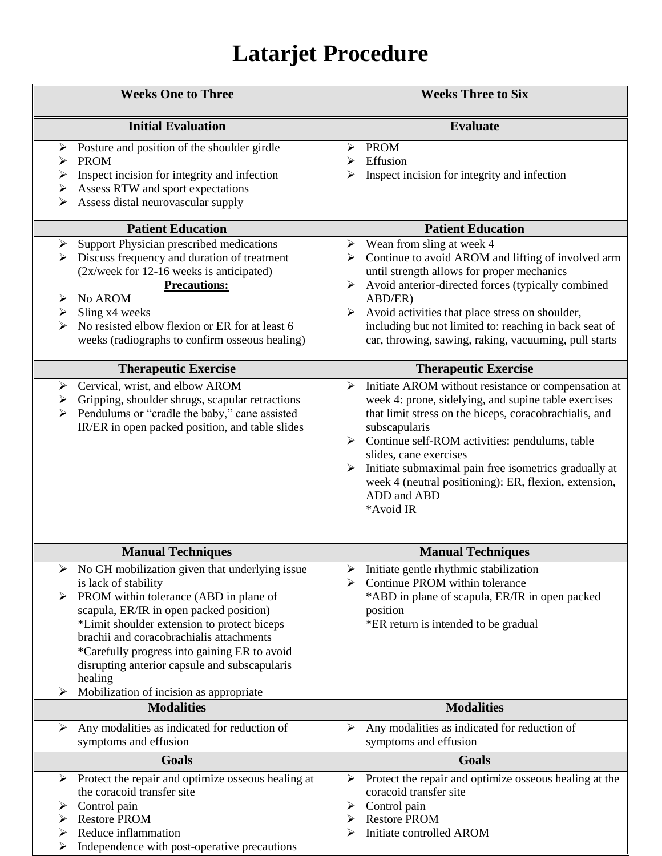## **Latarjet Procedure**

| <b>Weeks One to Three</b>                                                                                                                                                                                                                                                                                                                                                                                               | <b>Weeks Three to Six</b>                                                                                                                                                                                                                                                                                                                                                                                                                 |
|-------------------------------------------------------------------------------------------------------------------------------------------------------------------------------------------------------------------------------------------------------------------------------------------------------------------------------------------------------------------------------------------------------------------------|-------------------------------------------------------------------------------------------------------------------------------------------------------------------------------------------------------------------------------------------------------------------------------------------------------------------------------------------------------------------------------------------------------------------------------------------|
| <b>Initial Evaluation</b>                                                                                                                                                                                                                                                                                                                                                                                               | <b>Evaluate</b>                                                                                                                                                                                                                                                                                                                                                                                                                           |
| Posture and position of the shoulder girdle<br>➤<br><b>PROM</b><br>➤<br>Inspect incision for integrity and infection<br>➤<br>Assess RTW and sport expectations<br>➤<br>Assess distal neurovascular supply<br>➤                                                                                                                                                                                                          | <b>PROM</b><br>Effusion<br>⋗<br>Inspect incision for integrity and infection<br>⋗                                                                                                                                                                                                                                                                                                                                                         |
| <b>Patient Education</b>                                                                                                                                                                                                                                                                                                                                                                                                | <b>Patient Education</b>                                                                                                                                                                                                                                                                                                                                                                                                                  |
| Support Physician prescribed medications<br>➤<br>Discuss frequency and duration of treatment<br>➤<br>(2x/week for 12-16 weeks is anticipated)<br><b>Precautions:</b><br>No AROM<br>Sling x4 weeks<br>➤<br>No resisted elbow flexion or ER for at least 6<br>⋗<br>weeks (radiographs to confirm osseous healing)                                                                                                         | Wean from sling at week 4<br>➤<br>Continue to avoid AROM and lifting of involved arm<br>until strength allows for proper mechanics<br>Avoid anterior-directed forces (typically combined<br>≻<br>ABD/ER)<br>Avoid activities that place stress on shoulder,<br>➤<br>including but not limited to: reaching in back seat of<br>car, throwing, sawing, raking, vacuuming, pull starts                                                       |
| <b>Therapeutic Exercise</b>                                                                                                                                                                                                                                                                                                                                                                                             | <b>Therapeutic Exercise</b>                                                                                                                                                                                                                                                                                                                                                                                                               |
| Cervical, wrist, and elbow AROM<br>$\blacktriangleright$<br>Gripping, shoulder shrugs, scapular retractions<br>➤<br>Pendulums or "cradle the baby," cane assisted<br>➤<br>IR/ER in open packed position, and table slides                                                                                                                                                                                               | Initiate AROM without resistance or compensation at<br>$\blacktriangleright$<br>week 4: prone, sidelying, and supine table exercises<br>that limit stress on the biceps, coracobrachialis, and<br>subscapularis<br>Continue self-ROM activities: pendulums, table<br>slides, cane exercises<br>Initiate submaximal pain free isometrics gradually at<br>week 4 (neutral positioning): ER, flexion, extension,<br>ADD and ABD<br>*Avoid IR |
| <b>Manual Techniques</b>                                                                                                                                                                                                                                                                                                                                                                                                | <b>Manual Techniques</b>                                                                                                                                                                                                                                                                                                                                                                                                                  |
| No GH mobilization given that underlying issue<br>is lack of stability<br>PROM within tolerance (ABD in plane of<br>➤<br>scapula, ER/IR in open packed position)<br>*Limit shoulder extension to protect biceps<br>brachii and coracobrachialis attachments<br>*Carefully progress into gaining ER to avoid<br>disrupting anterior capsule and subscapularis<br>healing<br>Mobilization of incision as appropriate<br>➤ | Initiate gentle rhythmic stabilization<br>Continue PROM within tolerance<br>⋗<br>*ABD in plane of scapula, ER/IR in open packed<br>position<br>*ER return is intended to be gradual                                                                                                                                                                                                                                                       |
| <b>Modalities</b>                                                                                                                                                                                                                                                                                                                                                                                                       | <b>Modalities</b>                                                                                                                                                                                                                                                                                                                                                                                                                         |
| Any modalities as indicated for reduction of<br>➤<br>symptoms and effusion                                                                                                                                                                                                                                                                                                                                              | Any modalities as indicated for reduction of<br>➤<br>symptoms and effusion                                                                                                                                                                                                                                                                                                                                                                |
| <b>Goals</b>                                                                                                                                                                                                                                                                                                                                                                                                            | <b>Goals</b>                                                                                                                                                                                                                                                                                                                                                                                                                              |
| Protect the repair and optimize osseous healing at<br>➤<br>the coracoid transfer site<br>Control pain<br>➤<br><b>Restore PROM</b><br>➤<br>Reduce inflammation<br>➤<br>Independence with post-operative precautions<br>➤                                                                                                                                                                                                 | Protect the repair and optimize osseous healing at the<br>➤<br>coracoid transfer site<br>Control pain<br>➤<br><b>Restore PROM</b><br>➤<br>Initiate controlled AROM                                                                                                                                                                                                                                                                        |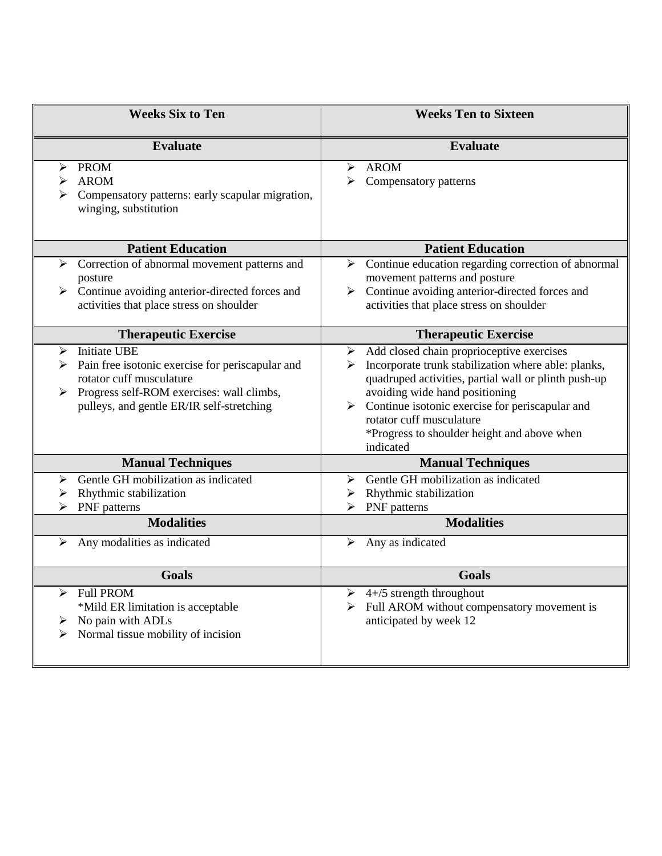| <b>Weeks Six to Ten</b>                                                                                                                                                                                 | <b>Weeks Ten to Sixteen</b>                                                                                                                                                                                                                                                                                                                                 |
|---------------------------------------------------------------------------------------------------------------------------------------------------------------------------------------------------------|-------------------------------------------------------------------------------------------------------------------------------------------------------------------------------------------------------------------------------------------------------------------------------------------------------------------------------------------------------------|
| <b>Evaluate</b>                                                                                                                                                                                         | <b>Evaluate</b>                                                                                                                                                                                                                                                                                                                                             |
| <b>PROM</b><br>➤<br><b>AROM</b><br>⋗<br>➤<br>Compensatory patterns: early scapular migration,<br>winging, substitution                                                                                  | <b>AROM</b><br>⋗<br>Compensatory patterns<br>➤                                                                                                                                                                                                                                                                                                              |
| <b>Patient Education</b>                                                                                                                                                                                | <b>Patient Education</b>                                                                                                                                                                                                                                                                                                                                    |
| Correction of abnormal movement patterns and<br>➤<br>posture<br>Continue avoiding anterior-directed forces and<br>➤<br>activities that place stress on shoulder                                         | Continue education regarding correction of abnormal<br>≻<br>movement patterns and posture<br>Continue avoiding anterior-directed forces and<br>≻<br>activities that place stress on shoulder                                                                                                                                                                |
| <b>Therapeutic Exercise</b>                                                                                                                                                                             | <b>Therapeutic Exercise</b>                                                                                                                                                                                                                                                                                                                                 |
| <b>Initiate UBE</b><br>➤<br>Pain free isotonic exercise for periscapular and<br>rotator cuff musculature<br>Progress self-ROM exercises: wall climbs,<br>➤<br>pulleys, and gentle ER/IR self-stretching | $\triangleright$ Add closed chain proprioceptive exercises<br>Incorporate trunk stabilization where able: planks,<br>↘<br>quadruped activities, partial wall or plinth push-up<br>avoiding wide hand positioning<br>Continue isotonic exercise for periscapular and<br>rotator cuff musculature<br>*Progress to shoulder height and above when<br>indicated |
| <b>Manual Techniques</b>                                                                                                                                                                                | <b>Manual Techniques</b>                                                                                                                                                                                                                                                                                                                                    |
| Gentle GH mobilization as indicated<br>⋗<br>Rhythmic stabilization<br>PNF patterns<br><b>Modalities</b><br>Any modalities as indicated<br>➤                                                             | Gentle GH mobilization as indicated<br>➤<br>Rhythmic stabilization<br>➤<br>PNF patterns<br>⋗<br><b>Modalities</b><br>Any as indicated<br>➤                                                                                                                                                                                                                  |
|                                                                                                                                                                                                         |                                                                                                                                                                                                                                                                                                                                                             |
| <b>Goals</b>                                                                                                                                                                                            | Goals                                                                                                                                                                                                                                                                                                                                                       |
| <b>Full PROM</b><br>⋗<br>*Mild ER limitation is acceptable<br>No pain with ADLs<br>Normal tissue mobility of incision                                                                                   | $4+/5$ strength throughout<br>➤<br>Full AROM without compensatory movement is<br>anticipated by week 12                                                                                                                                                                                                                                                     |